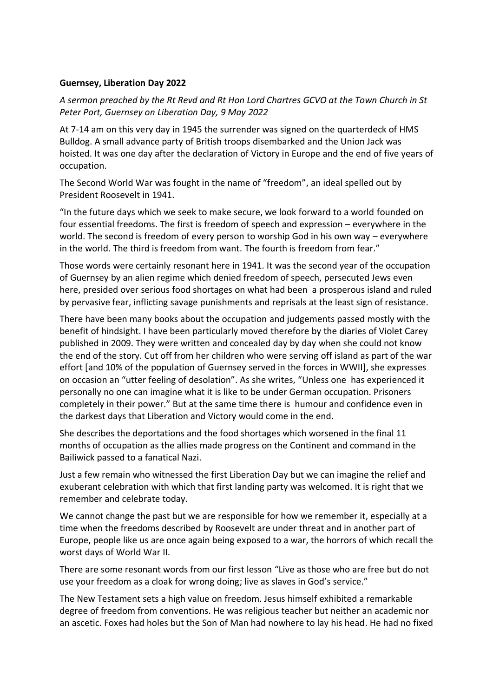## **Guernsey, Liberation Day 2022**

*A sermon preached by the Rt Revd and Rt Hon Lord Chartres GCVO at the Town Church in St Peter Port, Guernsey on Liberation Day, 9 May 2022*

At 7-14 am on this very day in 1945 the surrender was signed on the quarterdeck of HMS Bulldog. A small advance party of British troops disembarked and the Union Jack was hoisted. It was one day after the declaration of Victory in Europe and the end of five years of occupation.

The Second World War was fought in the name of "freedom", an ideal spelled out by President Roosevelt in 1941.

"In the future days which we seek to make secure, we look forward to a world founded on four essential freedoms. The first is freedom of speech and expression – everywhere in the world. The second is freedom of every person to worship God in his own way – everywhere in the world. The third is freedom from want. The fourth is freedom from fear."

Those words were certainly resonant here in 1941. It was the second year of the occupation of Guernsey by an alien regime which denied freedom of speech, persecuted Jews even here, presided over serious food shortages on what had been a prosperous island and ruled by pervasive fear, inflicting savage punishments and reprisals at the least sign of resistance.

There have been many books about the occupation and judgements passed mostly with the benefit of hindsight. I have been particularly moved therefore by the diaries of Violet Carey published in 2009. They were written and concealed day by day when she could not know the end of the story. Cut off from her children who were serving off island as part of the war effort [and 10% of the population of Guernsey served in the forces in WWII], she expresses on occasion an "utter feeling of desolation". As she writes, "Unless one has experienced it personally no one can imagine what it is like to be under German occupation. Prisoners completely in their power." But at the same time there is humour and confidence even in the darkest days that Liberation and Victory would come in the end.

She describes the deportations and the food shortages which worsened in the final 11 months of occupation as the allies made progress on the Continent and command in the Bailiwick passed to a fanatical Nazi.

Just a few remain who witnessed the first Liberation Day but we can imagine the relief and exuberant celebration with which that first landing party was welcomed. It is right that we remember and celebrate today.

We cannot change the past but we are responsible for how we remember it, especially at a time when the freedoms described by Roosevelt are under threat and in another part of Europe, people like us are once again being exposed to a war, the horrors of which recall the worst days of World War II.

There are some resonant words from our first lesson "Live as those who are free but do not use your freedom as a cloak for wrong doing; live as slaves in God's service."

The New Testament sets a high value on freedom. Jesus himself exhibited a remarkable degree of freedom from conventions. He was religious teacher but neither an academic nor an ascetic. Foxes had holes but the Son of Man had nowhere to lay his head. He had no fixed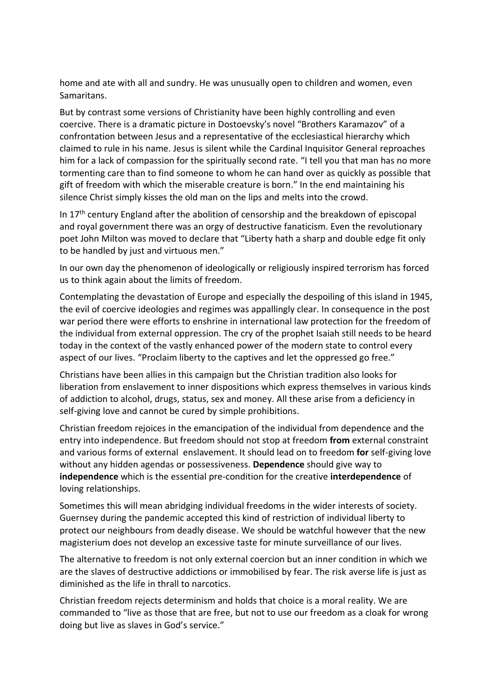home and ate with all and sundry. He was unusually open to children and women, even Samaritans.

But by contrast some versions of Christianity have been highly controlling and even coercive. There is a dramatic picture in Dostoevsky's novel "Brothers Karamazov" of a confrontation between Jesus and a representative of the ecclesiastical hierarchy which claimed to rule in his name. Jesus is silent while the Cardinal Inquisitor General reproaches him for a lack of compassion for the spiritually second rate. "I tell you that man has no more tormenting care than to find someone to whom he can hand over as quickly as possible that gift of freedom with which the miserable creature is born." In the end maintaining his silence Christ simply kisses the old man on the lips and melts into the crowd.

In  $17<sup>th</sup>$  century England after the abolition of censorship and the breakdown of episcopal and royal government there was an orgy of destructive fanaticism. Even the revolutionary poet John Milton was moved to declare that "Liberty hath a sharp and double edge fit only to be handled by just and virtuous men."

In our own day the phenomenon of ideologically or religiously inspired terrorism has forced us to think again about the limits of freedom.

Contemplating the devastation of Europe and especially the despoiling of this island in 1945, the evil of coercive ideologies and regimes was appallingly clear. In consequence in the post war period there were efforts to enshrine in international law protection for the freedom of the individual from external oppression. The cry of the prophet Isaiah still needs to be heard today in the context of the vastly enhanced power of the modern state to control every aspect of our lives. "Proclaim liberty to the captives and let the oppressed go free."

Christians have been allies in this campaign but the Christian tradition also looks for liberation from enslavement to inner dispositions which express themselves in various kinds of addiction to alcohol, drugs, status, sex and money. All these arise from a deficiency in self-giving love and cannot be cured by simple prohibitions.

Christian freedom rejoices in the emancipation of the individual from dependence and the entry into independence. But freedom should not stop at freedom **from** external constraint and various forms of external enslavement. It should lead on to freedom **for** self-giving love without any hidden agendas or possessiveness. **Dependence** should give way to **independence** which is the essential pre-condition for the creative **interdependence** of loving relationships.

Sometimes this will mean abridging individual freedoms in the wider interests of society. Guernsey during the pandemic accepted this kind of restriction of individual liberty to protect our neighbours from deadly disease. We should be watchful however that the new magisterium does not develop an excessive taste for minute surveillance of our lives.

The alternative to freedom is not only external coercion but an inner condition in which we are the slaves of destructive addictions or immobilised by fear. The risk averse life is just as diminished as the life in thrall to narcotics.

Christian freedom rejects determinism and holds that choice is a moral reality. We are commanded to "live as those that are free, but not to use our freedom as a cloak for wrong doing but live as slaves in God's service."